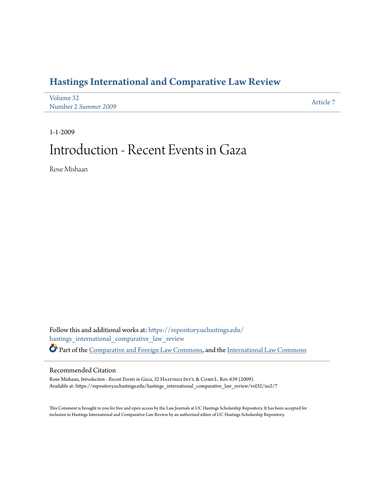## **[Hastings International and Comparative Law Review](https://repository.uchastings.edu/hastings_international_comparative_law_review?utm_source=repository.uchastings.edu%2Fhastings_international_comparative_law_review%2Fvol32%2Fiss2%2F7&utm_medium=PDF&utm_campaign=PDFCoverPages)**

| Volume 32            | Article 7 |
|----------------------|-----------|
| Number 2 Summer 2009 |           |

1-1-2009

## Introduction - Recent Events in Gaza

Rose Mishaan

Follow this and additional works at: [https://repository.uchastings.edu/](https://repository.uchastings.edu/hastings_international_comparative_law_review?utm_source=repository.uchastings.edu%2Fhastings_international_comparative_law_review%2Fvol32%2Fiss2%2F7&utm_medium=PDF&utm_campaign=PDFCoverPages) [hastings\\_international\\_comparative\\_law\\_review](https://repository.uchastings.edu/hastings_international_comparative_law_review?utm_source=repository.uchastings.edu%2Fhastings_international_comparative_law_review%2Fvol32%2Fiss2%2F7&utm_medium=PDF&utm_campaign=PDFCoverPages) Part of the [Comparative and Foreign Law Commons](http://network.bepress.com/hgg/discipline/836?utm_source=repository.uchastings.edu%2Fhastings_international_comparative_law_review%2Fvol32%2Fiss2%2F7&utm_medium=PDF&utm_campaign=PDFCoverPages), and the [International Law Commons](http://network.bepress.com/hgg/discipline/609?utm_source=repository.uchastings.edu%2Fhastings_international_comparative_law_review%2Fvol32%2Fiss2%2F7&utm_medium=PDF&utm_campaign=PDFCoverPages)

## Recommended Citation

Rose Mishaan, *Introduction - Recent Events in Gaza*, 32 HASTINGS INT'L & COMP.L. Rev. 639 (2009). Available at: https://repository.uchastings.edu/hastings\_international\_comparative\_law\_review/vol32/iss2/7

This Comment is brought to you for free and open access by the Law Journals at UC Hastings Scholarship Repository. It has been accepted for inclusion in Hastings International and Comparative Law Review by an authorized editor of UC Hastings Scholarship Repository.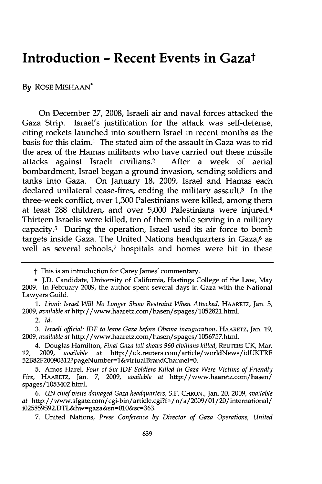## **Introduction - Recent Events in Gazat**

**By** ROSE **MISHAAN\***

On December **27, 2008,** Israeli air and naval forces attacked the Gaza Strip. Israel's justification for the attack was self-defense, citing rockets launched into southern Israel in recent months as the basis for this claim.' The stated aim of the assault in Gaza was to rid the area of the Hamas militants who have carried out these missile attacks against Israeli civilians.2 After a week of aerial bombardment, Israel began a ground invasion, sending soldiers and tanks into Gaza. On January **18, 2009,** Israel and Hamas each declared unilateral cease-fires, ending the military assault.3 In the three-week conflict, over **1,300** Palestinians were killed, among them at least **288** children, and over **5,000** Palestinians were injured.<sup>4</sup> Thirteen Israelis were killed, ten of them while serving in a military capacity.5 During the operation, Israel used its air force to bomb targets inside Gaza. The United Nations headquarters in Gaza,<sup>6</sup> as well as several schools,<sup>7</sup> hospitals and homes were hit in these

*1. Livni: Israel Will No Longer Show Restraint When Attacked,* **HAARETZ,** Jan. **5, 2009,** *available at* http://www.haaretz.com/hasen/spages/1052821.html.

t This is an introduction for Carey James' commentary.

**<sup>\*</sup> J.D.** Candidate, University of California, Hastings College of the Law, May **2009.** In February **2009,** the author spent several days in Gaza with the National Lawyers Guild.

<sup>2.</sup> *Id.*

*<sup>3.</sup> Israeli official: IDF to leave Gaza before Obama inauguration,* **HAARETZ,** Jan. **19, 2009,** *available at* http://www.haaretz.com/hasen/spages/1056757.html.

<sup>4.</sup> Douglas Hamilton, *Final Gaza toll shows 960 civilians killed,* **REUTERS UK,** Mar. 12, **2009,** *available at* http://uk.reuters.com/article/worldNews/idUKTRE 52B82F20090312?pageNumber=1&virtualBrandChannel=0.

**<sup>5.</sup>** Amos Harel, *Four of Six IDF Soldiers Killed in Gaza Were Victims of Friendly Fire,* **HAARETZ,** Jan. **7, 2009,** *available at* http://www.haaretz.com/hasen/ spages/1053402.html.

*<sup>6.</sup> UN chief visits damaged Gaza headquarters,* **S.F.** CHRON., Jan. 20, **2009,** *available at* http:/ /www.sfgate.com/cgi-bin/article.cgi?f=/n/a/2009/01/20/intemational/ i025859S92.DTL&hw=gaza&sn=010&sc=363.

**<sup>7.</sup>** United Nations, *Press Conference by Director of Gaza Operations, United*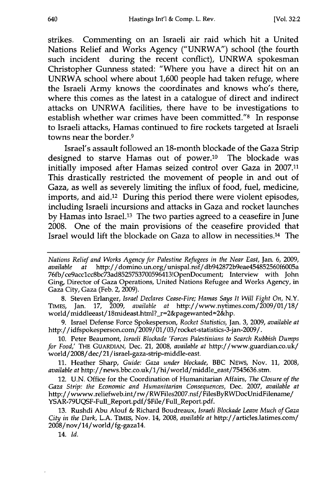strikes. Commenting on an Israeli air raid which hit a United Nations Relief and Works Agency **("UNRWA")** school (the fourth such incident during the recent conflict), **UNRWA** spokesman Christopher Gunness stated: "Where you have a direct hit on an **UNRWA** school where about **1,600** people had taken refuge, where the Israeli Army knows the coordinates and knows who's there, where this comes as the latest in a catalogue of direct and indirect attacks on **UNRWA** facilities, there have to be investigations to establish whether war crimes have been committed."8 In response to Israeli attacks, Hamas continued to fire rockets targeted at Israeli towns near the border.9

Israel's assault followed an 18-month blockade of the Gaza Strip designed to starve Hamas out of power.10 The blockade was initially imposed after Hamas seized control over Gaza in **2007.11** This drastically restricted the movement of people in and out of Gaza, as well as severely limiting the influx of food, fuel, medicine, imports, and aid.12 During this period there were violent episodes, including Israeli incursions and attacks in Gaza and rocket launches **by** Hamas into Israel.13 The two parties agreed to a ceasefire in June **2008.** One of the main provisions of the ceasefire provided that Israel would lift the blockade on Gaza to allow in necessities.14 The

**8.** Steven Erlanger, *Israel Declares Cease-Fire; Hamas Says It Will Fight On,* N.Y. **TIMES,** Jan. **17, 2009,** *available at* http://www.nytimes.com/2009/01/18/ world/middleeast/18mideast.html?\_r=2&pagewanted=2&hp.

**9.** Israel Defense Force Spokesperson, *Rocket Statistics,* Jan. **3, 2009,** *available at* http://idfspokesperson.com/2009/01/03/rocket-statistics-3-jan-2009/.

**10.** Peter Beaumont, *Israeli Blockade 'Forces Palestinians to Search Rubbish Dumps for Food,'* THE **GUARDIAN,** Dec. 21, **2008,** *available at* http://www.guardian.co.uk/ world/2008/dec/ 21/israel-gaza-strip-middle-east.

**11.** Heather Sharp, *Guide: Gaza under blockade,* BBC NEWS, Nov. **11, 2008,** *available at* http://news.bbc.co.uk/1/hi/world/niddle-east/7545636.stm.

12. **U.N.** Office for the Coordination of Humanitarian Affairs, *The Closure of the Gaza Strip: the Economic and Humanitarian Consequences,* Dec. **2007,** *available at* http://wwww.reliefweb.int/rw/RWFiles2007.nsf/FilesByRWDocUnidFilename/ YSAR-79UQSF-Full\_Report.pdf/\$File/Full\_Report.pdf.

**13.** Rushdi Abu Alouf **&** Richard Boudreaux, *Israeli Blockade Leave Much of Gaza City in the Dark,* **L.A. TIMEs,** Nov. 14, **2008,** *available at* http://articles.latimes.com/ 2008/nov/14/world/fg-gazal4.

14. *Id.*

*Nations Relief and Works Agency for Palestine Refugees in the Near East,* Jan. **6, 2009,** *available at* http://domino.un.org/unispal.nsf/db942872b9eae454852560f6005a 76fb/ce9acclcc8bc73ad8525753700596413!OpenDocument; Interview with John Ging, Director of Gaza Operations, United Nations Refugee and Works Agency, in Gaza City, Gaza (Feb. 2, **2009).**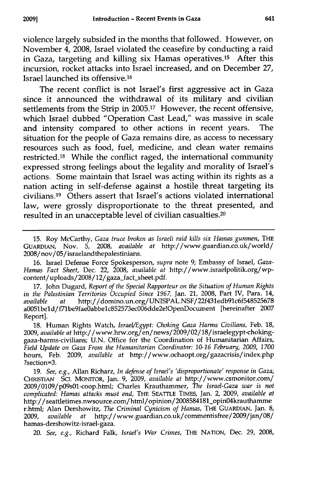violence largely subsided in the months that followed. However, on November 4, 2008, Israel violated the ceasefire by conducting a raid in Gaza, targeting and killing six Hamas operatives.<sup>15</sup> After this incursion, rocket attacks into Israel increased, and on December 27, Israel launched its offensive. <sup>16</sup>

The recent conflict is not Israel's first aggressive act in Gaza since it announced the withdrawal of its military and civilian settlements from the Strip in **2005.17** However, the recent offensive, which Israel dubbed "Operation Cast Lead," was massive in scale and intensity compared to other actions in recent years. The situation for the people of Gaza remains dire, as access to necessary resources such as food, fuel, medicine, and clean water remains restricted.<sup>18</sup> While the conflict raged, the international community expressed strong feelings about the legality and morality of Israel's actions. Some maintain that Israel was acting within its rights as a nation acting in self-defense against a hostile threat targeting its civilians. 19 Others assert that Israel's actions violated international law, were grossly disproportionate to the threat presented, and resulted in an unacceptable level of civilian casualties.<sup>20</sup>

15. Roy McCarthy, *Gaza truce broken as Israeli raid kills six Hamas gunmen,* THE **GUARDIAN,** Nov. **5, 2008,** *available at* http://www.guardian.co.uk/world/ 2008/nov/05/israelandthepalestinians.

16. Israel Defense Force Spokesperson, *supra* note 9; Embassy of Israel, *Gaza-Hamas Fact Sheet,* Dec. 22, 2008, *available at* http://www.israelpolitik.org/wpcontent/uploads/2008/12/gaza\_fact\_sheet.pdf.

**17.** John Dugard, *Report of the Special Rapporteur on the Situation of Human Rights in the Palestinian Territories Occupied Since 1967,* Jan. 21, **2008,** Part IV, Para. 14, *available at* http://domino.un.org/UNISPAL.NSF/22f431edb91c6f548525678 a0051beld/f7lbe9fae0abbelc852573ec006dde2e!OpenDocument [hereinafter **2007** Report].

**18.** Human Rights Watch, *Israel/Egypt: Choking Gaza Harms Civilians,* Feb. **18, 2009,** *available at* http://www.hrw.org/en/ news /2009/02/18/israelegypt-chokinggaza-harms-civilians; **U.N.** Office for the Coordination of Humanitarian Affairs, *Field Update on Gaza From the Humanitarian Coordinator: 10-16 February, 2009, 1700* hours, Feb. **2009,** *available at* http://www.ochaopt.org/gazacrisis/index.php ?section=3.

**19.** *See, e.g.,* Allan Richarz, *In defense of Israel's 'disproportionate' response in Gaza,* **CHRISTIAN SC.** MONITOR, Jan. **9, 2009,** *available at* http://www.csmonitor.com/ 2009/0109/p09s01-coop.htrml; Charles Krauthammer, *The Israel-Gaza war is not complicated: Hamas attacks must end,* THE **SEATTLE** TIMES, Jan. 2, **2009,** *available at* http://seattletimes.nwsource.com/htnl/opinion/2008584181\_opinO4krauthamme r.html; Alan Dershowitz, *The Criminal Cynicism of Hamas,* **THE GUARDIAN,** Jan. **8, 2009,** *available at* http://www.guardian.co.uk/commentisfree/2009/jan/08/ hamas-dershowitz-israel-gaza.

20. *See, e.g.,* Richard Falk, *Israel's War Crimes,* THE NATION, Dec. **29, 2008,**